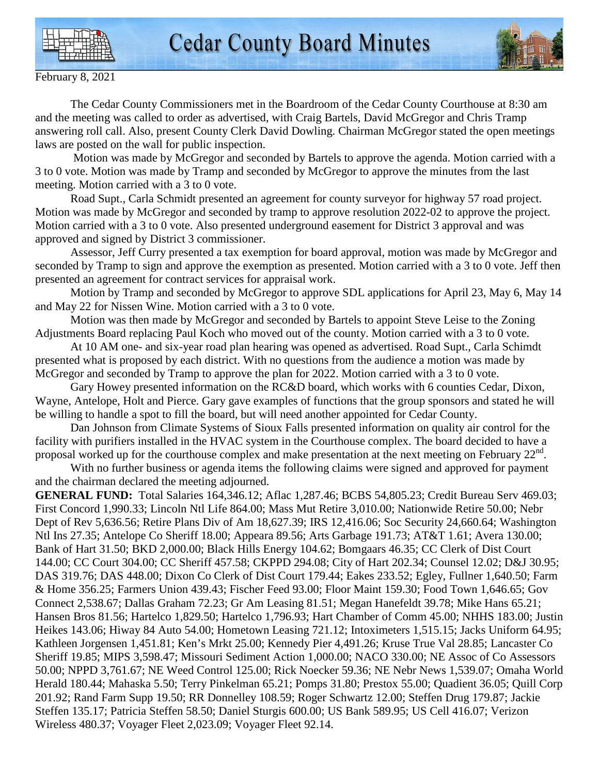



February 8, 2021

 The Cedar County Commissioners met in the Boardroom of the Cedar County Courthouse at 8:30 am and the meeting was called to order as advertised, with Craig Bartels, David McGregor and Chris Tramp answering roll call. Also, present County Clerk David Dowling. Chairman McGregor stated the open meetings laws are posted on the wall for public inspection.

 Motion was made by McGregor and seconded by Bartels to approve the agenda. Motion carried with a 3 to 0 vote. Motion was made by Tramp and seconded by McGregor to approve the minutes from the last meeting. Motion carried with a 3 to 0 vote.

 Road Supt., Carla Schmidt presented an agreement for county surveyor for highway 57 road project. Motion was made by McGregor and seconded by tramp to approve resolution 2022-02 to approve the project. Motion carried with a 3 to 0 vote. Also presented underground easement for District 3 approval and was approved and signed by District 3 commissioner.

 Assessor, Jeff Curry presented a tax exemption for board approval, motion was made by McGregor and seconded by Tramp to sign and approve the exemption as presented. Motion carried with a 3 to 0 vote. Jeff then presented an agreement for contract services for appraisal work.

 Motion by Tramp and seconded by McGregor to approve SDL applications for April 23, May 6, May 14 and May 22 for Nissen Wine. Motion carried with a 3 to 0 vote.

 Motion was then made by McGregor and seconded by Bartels to appoint Steve Leise to the Zoning Adjustments Board replacing Paul Koch who moved out of the county. Motion carried with a 3 to 0 vote.

 At 10 AM one- and six-year road plan hearing was opened as advertised. Road Supt., Carla Schimdt presented what is proposed by each district. With no questions from the audience a motion was made by McGregor and seconded by Tramp to approve the plan for 2022. Motion carried with a 3 to 0 vote.

 Gary Howey presented information on the RC&D board, which works with 6 counties Cedar, Dixon, Wayne, Antelope, Holt and Pierce. Gary gave examples of functions that the group sponsors and stated he will be willing to handle a spot to fill the board, but will need another appointed for Cedar County.

 Dan Johnson from Climate Systems of Sioux Falls presented information on quality air control for the facility with purifiers installed in the HVAC system in the Courthouse complex. The board decided to have a proposal worked up for the courthouse complex and make presentation at the next meeting on February 22<sup>nd</sup>.

With no further business or agenda items the following claims were signed and approved for payment and the chairman declared the meeting adjourned.

**GENERAL FUND:** Total Salaries 164,346.12; Aflac 1,287.46; BCBS 54,805.23; Credit Bureau Serv 469.03; First Concord 1,990.33; Lincoln Ntl Life 864.00; Mass Mut Retire 3,010.00; Nationwide Retire 50.00; Nebr Dept of Rev 5,636.56; Retire Plans Div of Am 18,627.39; IRS 12,416.06; Soc Security 24,660.64; Washington Ntl Ins 27.35; Antelope Co Sheriff 18.00; Appeara 89.56; Arts Garbage 191.73; AT&T 1.61; Avera 130.00; Bank of Hart 31.50; BKD 2,000.00; Black Hills Energy 104.62; Bomgaars 46.35; CC Clerk of Dist Court 144.00; CC Court 304.00; CC Sheriff 457.58; CKPPD 294.08; City of Hart 202.34; Counsel 12.02; D&J 30.95; DAS 319.76; DAS 448.00; Dixon Co Clerk of Dist Court 179.44; Eakes 233.52; Egley, Fullner 1,640.50; Farm & Home 356.25; Farmers Union 439.43; Fischer Feed 93.00; Floor Maint 159.30; Food Town 1,646.65; Gov Connect 2,538.67; Dallas Graham 72.23; Gr Am Leasing 81.51; Megan Hanefeldt 39.78; Mike Hans 65.21; Hansen Bros 81.56; Hartelco 1,829.50; Hartelco 1,796.93; Hart Chamber of Comm 45.00; NHHS 183.00; Justin Heikes 143.06; Hiway 84 Auto 54.00; Hometown Leasing 721.12; Intoximeters 1,515.15; Jacks Uniform 64.95; Kathleen Jorgensen 1,451.81; Ken's Mrkt 25.00; Kennedy Pier 4,491.26; Kruse True Val 28.85; Lancaster Co Sheriff 19.85; MIPS 3,598.47; Missouri Sediment Action 1,000.00; NACO 330.00; NE Assoc of Co Assessors 50.00; NPPD 3,761.67; NE Weed Control 125.00; Rick Noecker 59.36; NE Nebr News 1,539.07; Omaha World Herald 180.44; Mahaska 5.50; Terry Pinkelman 65.21; Pomps 31.80; Prestox 55.00; Quadient 36.05; Quill Corp 201.92; Rand Farm Supp 19.50; RR Donnelley 108.59; Roger Schwartz 12.00; Steffen Drug 179.87; Jackie Steffen 135.17; Patricia Steffen 58.50; Daniel Sturgis 600.00; US Bank 589.95; US Cell 416.07; Verizon Wireless 480.37; Voyager Fleet 2,023.09; Voyager Fleet 92.14.